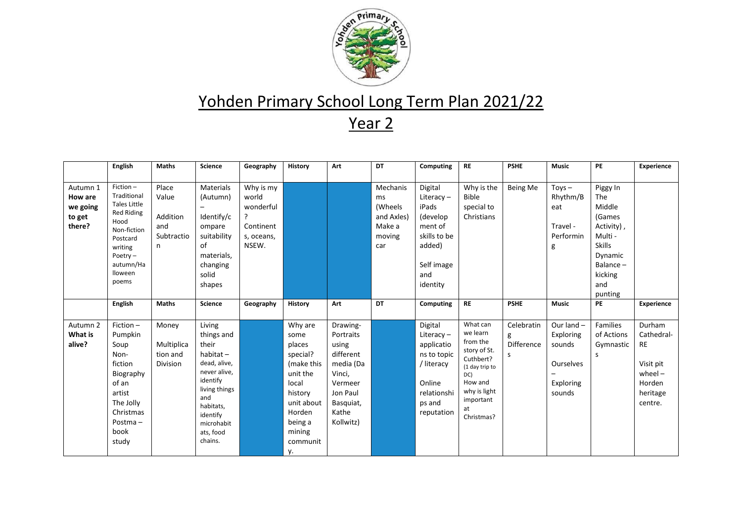

## Yohden Primary School Long Term Plan 2021/22

Year 2

|                                                     | English                                                                                                                                                          | <b>Maths</b>                                         | <b>Science</b>                                                                                                                                                                  | Geography                                                                | History                                                                                                                                            | Art                                                                                                                          | DT                                                                 | Computing                                                                                                           | <b>RE</b>                                                                                                                                          | <b>PSHE</b>                        | <b>Music</b>                                                            | <b>PE</b>                                                                                                                            | <b>Experience</b>                                                                            |
|-----------------------------------------------------|------------------------------------------------------------------------------------------------------------------------------------------------------------------|------------------------------------------------------|---------------------------------------------------------------------------------------------------------------------------------------------------------------------------------|--------------------------------------------------------------------------|----------------------------------------------------------------------------------------------------------------------------------------------------|------------------------------------------------------------------------------------------------------------------------------|--------------------------------------------------------------------|---------------------------------------------------------------------------------------------------------------------|----------------------------------------------------------------------------------------------------------------------------------------------------|------------------------------------|-------------------------------------------------------------------------|--------------------------------------------------------------------------------------------------------------------------------------|----------------------------------------------------------------------------------------------|
| Autumn 1<br>How are<br>we going<br>to get<br>there? | Fiction-<br>Traditional<br><b>Tales Little</b><br><b>Red Riding</b><br>Hood<br>Non-fiction<br>Postcard<br>writing<br>Poetry $-$<br>autumn/Ha<br>lloween<br>poems | Place<br>Value<br>Addition<br>and<br>Subtractio<br>n | <b>Materials</b><br>(Autumn)<br>Identify/c<br>ompare<br>suitability<br>of<br>materials,<br>changing<br>solid<br>shapes                                                          | Why is my<br>world<br>wonderful<br>?<br>Continent<br>s, oceans,<br>NSEW. |                                                                                                                                                    |                                                                                                                              | Mechanis<br>ms<br>(Wheels<br>and Axles)<br>Make a<br>moving<br>car | Digital<br>Literacy $-$<br>iPads<br>(develop<br>ment of<br>skills to be<br>added)<br>Self image<br>and<br>identity  | Why is the<br><b>Bible</b><br>special to<br>Christians                                                                                             | <b>Being Me</b>                    | $Toys -$<br>Rhythm/B<br>eat<br>Travel -<br>Performin<br>g               | Piggy In<br>The<br>Middle<br>(Games<br>Activity),<br>Multi -<br><b>Skills</b><br>Dynamic<br>Balance $-$<br>kicking<br>and<br>punting |                                                                                              |
|                                                     | English                                                                                                                                                          | <b>Maths</b>                                         | <b>Science</b>                                                                                                                                                                  | Geography                                                                | History                                                                                                                                            | Art                                                                                                                          | DT                                                                 | Computing                                                                                                           | <b>RE</b>                                                                                                                                          | <b>PSHE</b>                        | <b>Music</b>                                                            | PE                                                                                                                                   | <b>Experience</b>                                                                            |
| Autumn <sub>2</sub><br>What is<br>alive?            | Fiction $-$<br>Pumpkin<br>Soup<br>Non-<br>fiction<br>Biography<br>of an<br>artist<br>The Jolly<br>Christmas<br>Postma-<br>book<br>study                          | Money<br>Multiplica<br>tion and<br>Division          | Living<br>things and<br>their<br>$habitat -$<br>dead, alive,<br>never alive,<br>identify<br>living things<br>and<br>habitats,<br>identify<br>microhabit<br>ats, food<br>chains. |                                                                          | Why are<br>some<br>places<br>special?<br>(make this<br>unit the<br>local<br>history<br>unit about<br>Horden<br>being a<br>mining<br>communit<br>у. | Drawing-<br>Portraits<br>using<br>different<br>media (Da<br>Vinci,<br>Vermeer<br>Jon Paul<br>Basquiat,<br>Kathe<br>Kollwitz) |                                                                    | Digital<br>Literacy $-$<br>applicatio<br>ns to topic<br>/ literacy<br>Online<br>relationshi<br>ps and<br>reputation | What can<br>we learn<br>from the<br>story of St.<br>Cuthbert?<br>(1 day trip to<br>DC)<br>How and<br>why is light<br>important<br>at<br>Christmas? | Celebratin<br>g<br>Difference<br>s | Our land $-$<br>Exploring<br>sounds<br>Ourselves<br>Exploring<br>sounds | Families<br>of Actions<br>Gymnastic<br>s                                                                                             | Durham<br>Cathedral-<br><b>RE</b><br>Visit pit<br>$wheel -$<br>Horden<br>heritage<br>centre. |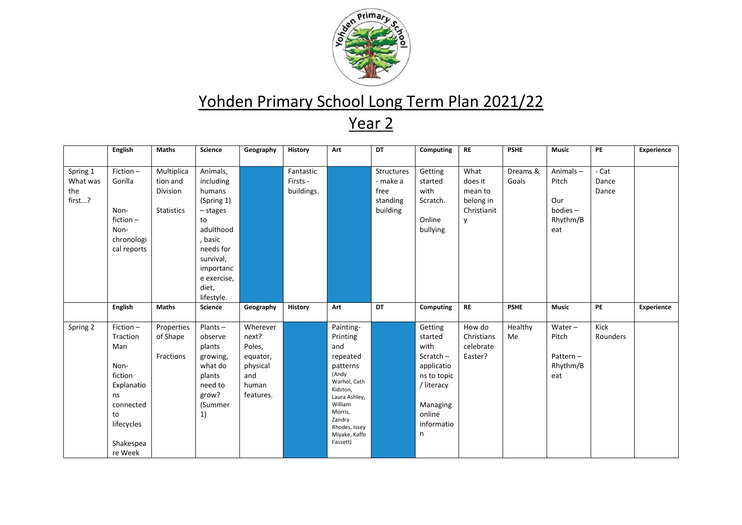

## Yohden Primary School Long Term Plan 2021/22

Year 2

|                                       | <b>English</b>                                                                  | <b>Maths</b>                                     | <b>Science</b>                                                                                                                                           | Geography                                           | History                             | Art                                                  | <b>DT</b>                                              | Computing                                                    | <b>RE</b>                                                   | <b>PSHE</b>       | <b>Music</b>                                                 | PE                      | Experience |
|---------------------------------------|---------------------------------------------------------------------------------|--------------------------------------------------|----------------------------------------------------------------------------------------------------------------------------------------------------------|-----------------------------------------------------|-------------------------------------|------------------------------------------------------|--------------------------------------------------------|--------------------------------------------------------------|-------------------------------------------------------------|-------------------|--------------------------------------------------------------|-------------------------|------------|
| Spring 1<br>What was<br>the<br>first? | Fiction-<br>Gorilla<br>Non-<br>fiction $-$<br>Non-<br>chronologi<br>cal reports | Multiplica<br>tion and<br>Division<br>Statistics | Animals,<br>including<br>humans<br>(Spring 1)<br>$-$ stages<br>to<br>adulthood<br>, basic<br>needs for<br>survival,<br>importanc<br>e exercise,<br>diet, |                                                     | Fantastic<br>Firsts -<br>buildings. |                                                      | Structures<br>- make a<br>free<br>standing<br>building | Getting<br>started<br>with<br>Scratch.<br>Online<br>bullying | What<br>does it<br>mean to<br>belong in<br>Christianit<br>y | Dreams &<br>Goals | Animals-<br>Pitch<br>Our<br>$b$ odies $-$<br>Rhythm/B<br>eat | - Cat<br>Dance<br>Dance |            |
|                                       |                                                                                 |                                                  | lifestyle.                                                                                                                                               |                                                     |                                     |                                                      |                                                        |                                                              |                                                             |                   |                                                              |                         |            |
|                                       | English                                                                         | <b>Maths</b>                                     | <b>Science</b>                                                                                                                                           | Geography                                           | History                             | Art                                                  | <b>DT</b>                                              | Computing                                                    | <b>RE</b>                                                   | <b>PSHE</b>       | <b>Music</b>                                                 | PE                      | Experience |
| Spring 2                              | Fiction-<br>Traction<br>Man<br>Non-                                             | Properties<br>of Shape<br>Fractions              | $Plants -$<br>observe<br>plants<br>growing,<br>what do                                                                                                   | Wherever<br>next?<br>Poles,<br>equator,<br>physical |                                     | Painting-<br>Printing<br>and<br>repeated<br>patterns |                                                        | Getting<br>started<br>with<br>Scratch-<br>applicatio         | How do<br>Christians<br>celebrate<br>Easter?                | Healthy<br>Me     | $Water -$<br>Pitch<br>Pattern-<br>Rhythm/B                   | Kick<br>Rounders        |            |